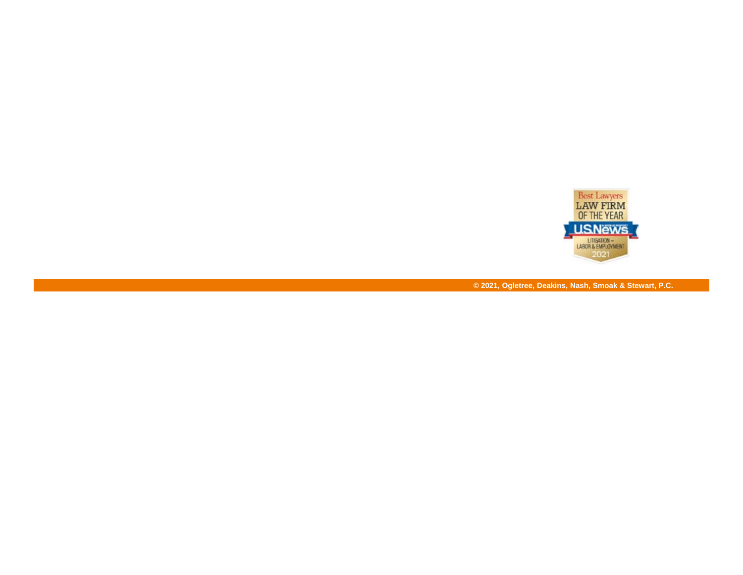

**© 2021, Ogletree, Deakins, Nash, Smoak & Stewart, P.C.**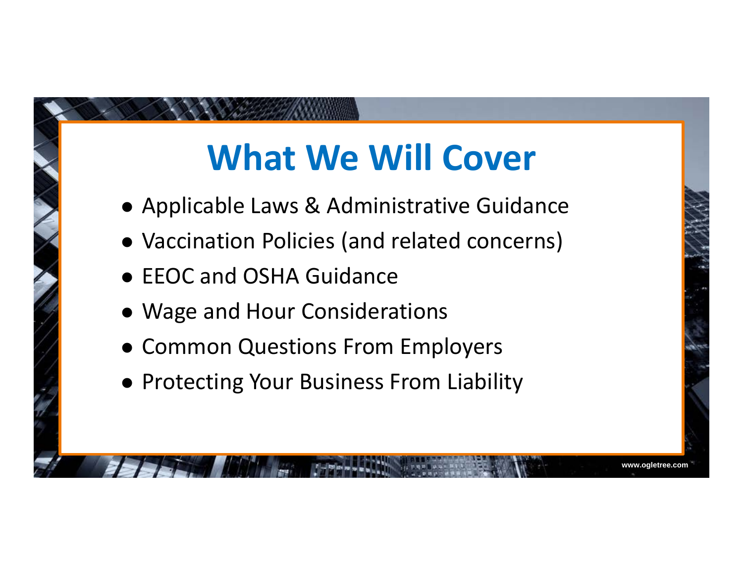### **What We Will Cover**

- Applicable Laws & Administrative Guidance
- Vaccination Policies (and related concerns)
- **EEOC and OSHA Guidance**
- Wage and Hour Considerations
- Common Questions From Employers
- **Protecting Your Business From Liability**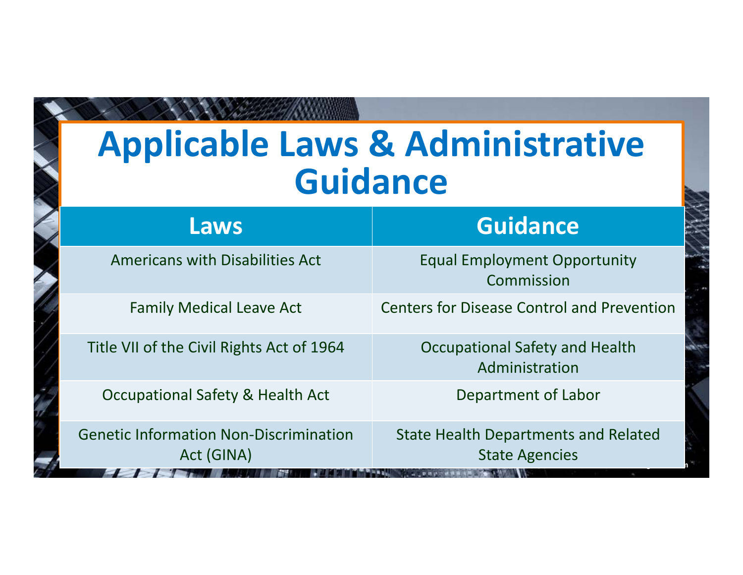#### **Applicable Laws & Administrative Guidance**

| <b>Laws</b>                                                 | <b>Guidance</b>                                                                           |
|-------------------------------------------------------------|-------------------------------------------------------------------------------------------|
| <b>Americans with Disabilities Act</b>                      | <b>Equal Employment Opportunity</b><br>Commission                                         |
| <b>Family Medical Leave Act</b>                             | <b>Centers for Disease Control and Prevention</b>                                         |
| Title VII of the Civil Rights Act of 1964                   | Occupational Safety and Health<br>Administration                                          |
| Occupational Safety & Health Act                            | Department of Labor                                                                       |
| <b>Genetic Information Non-Discrimination</b><br>Act (GINA) | <b>State Health Departments and Related</b><br><b>State Agencies</b><br><b>CONTRACTOR</b> |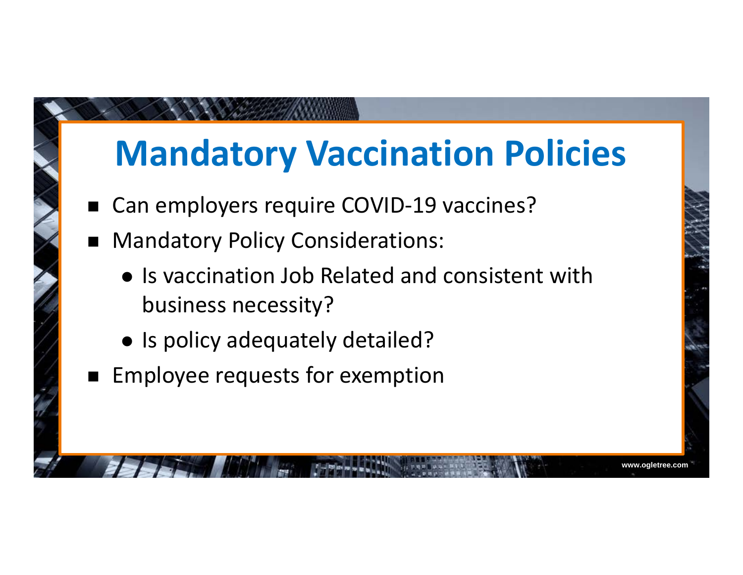### **Mandatory Vaccination Policies**

- $\blacksquare$ Can employers require COVID-19 vaccines?
- $\blacksquare$  Mandatory Policy Considerations:
	- Is vaccination Job Related and consistent with business necessity?

- Is policy adequately detailed?
- $\blacksquare$  Employee requests for exemption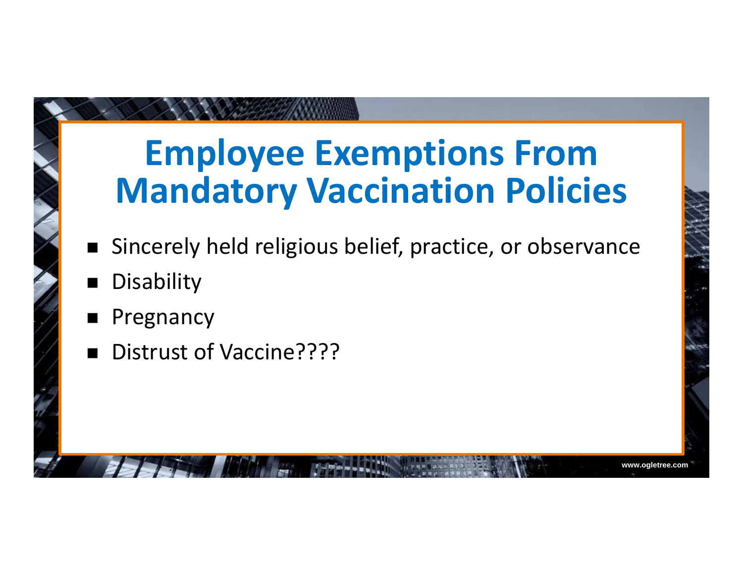### **Employee Exemptions From Mandatory Vaccination Policies**

 $\blacksquare$ Sincerely held religious belief, practice, or observance

- $\blacksquare$ **Disability**
- $\blacksquare$ Pregnancy
- $\blacksquare$ Distrust of Vaccine????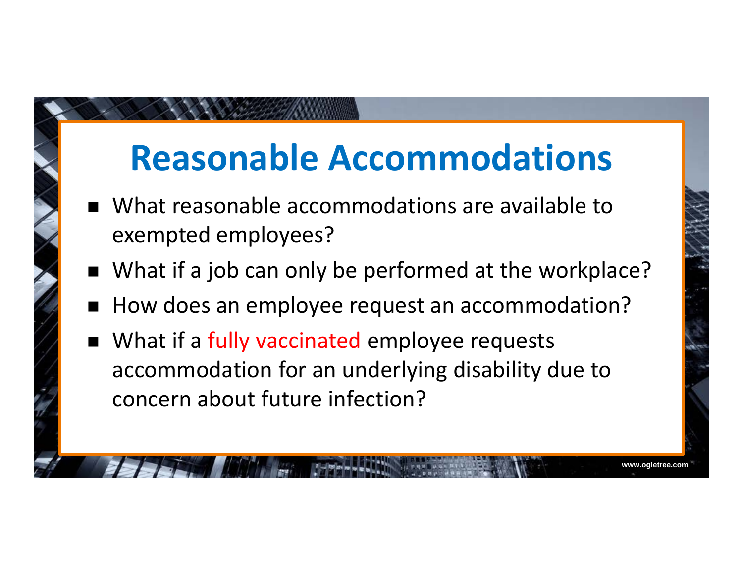### **Reasonable Accommodations**

- $\blacksquare$  What reasonable accommodations are available to exempted employees?
- What if a job can only be performed at the workplace?
- $\blacksquare$ How does an employee request an accommodation?
- What if a fully vaccinated employee requests accommodation for an underlying disability due to concern about future infection?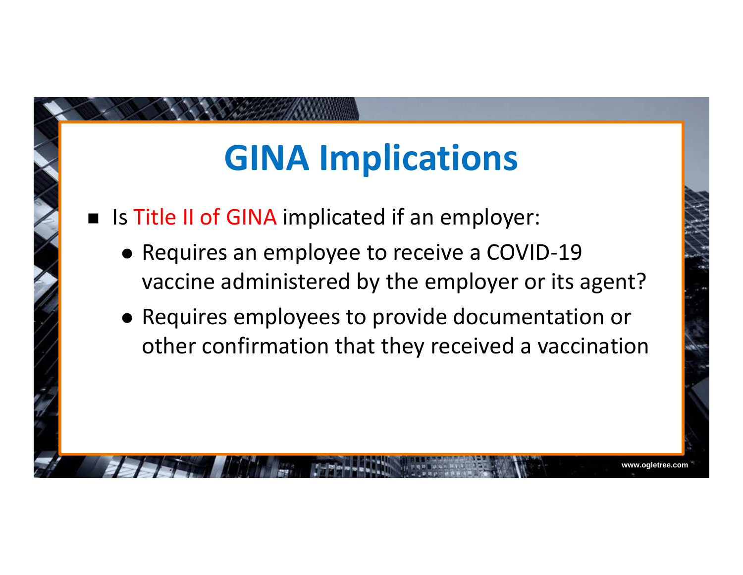### **GINA Implications**

- **IF IS Title II of GINA implicated if an employer:** 
	- Requires an employee to receive a COVID-19 vaccine administered by the employer or its agent?
	- Requires employees to provide documentation or other confirmation that they received a vaccination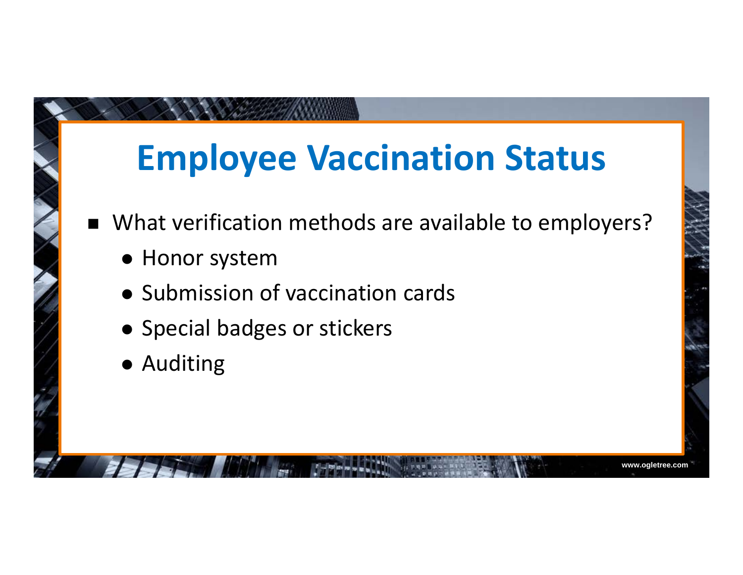### **Employee Vaccination Status**

 $\blacksquare$ What verification methods are available to employers?

- Honor system
- Submission of vaccination cards
- Special badges or stickers
- Auditing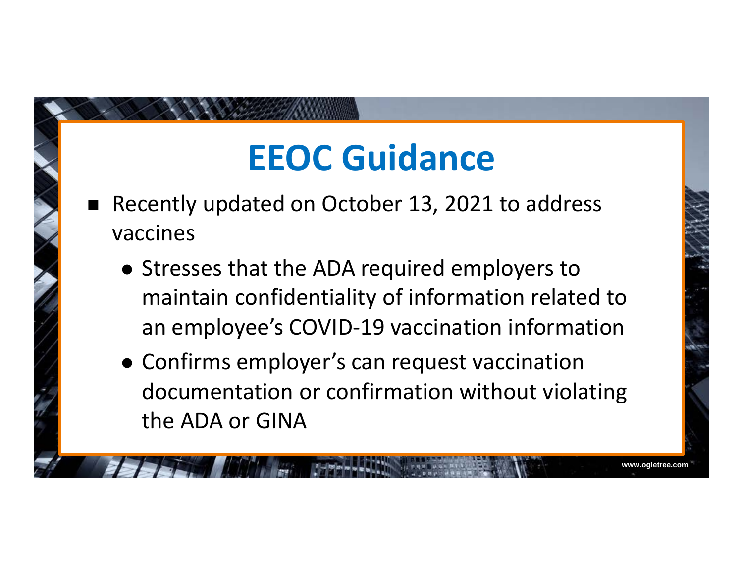### **EEOC Guidance**

- $\blacksquare$  Recently updated on October 13, 2021 to address vaccines
	- Stresses that the ADA required employers to maintain confidentiality of information related to an employee's COVID-19 vaccination information
	- Confirms employer's can request vaccination documentation or confirmation without violating the ADA or GINA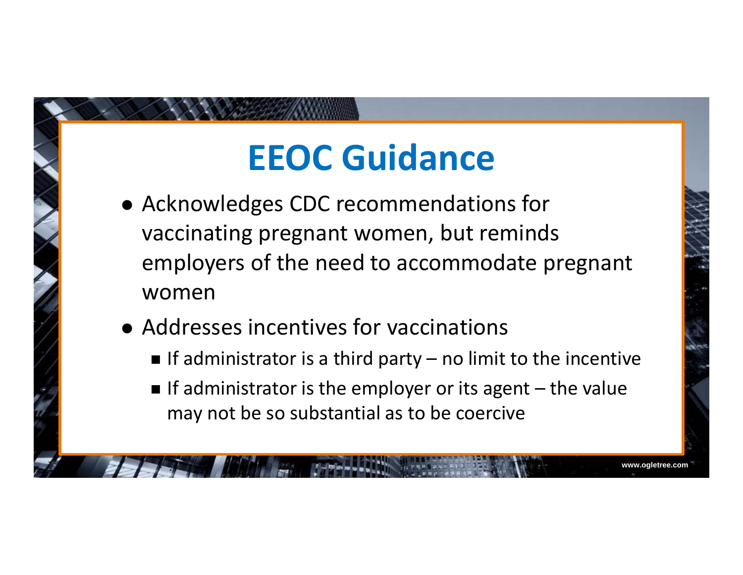## **EEOC Guidance**

- Acknowledges CDC recommendations for vaccinating pregnant women, but reminds employers of the need to accommodate pregnant women
- Addresses incentives for vaccinations
	- $\blacksquare$  If administrator is a third party no limit to the incentive
	- If administrator is the employer or its agent  $-$  the value may not be so substantial as to be coercive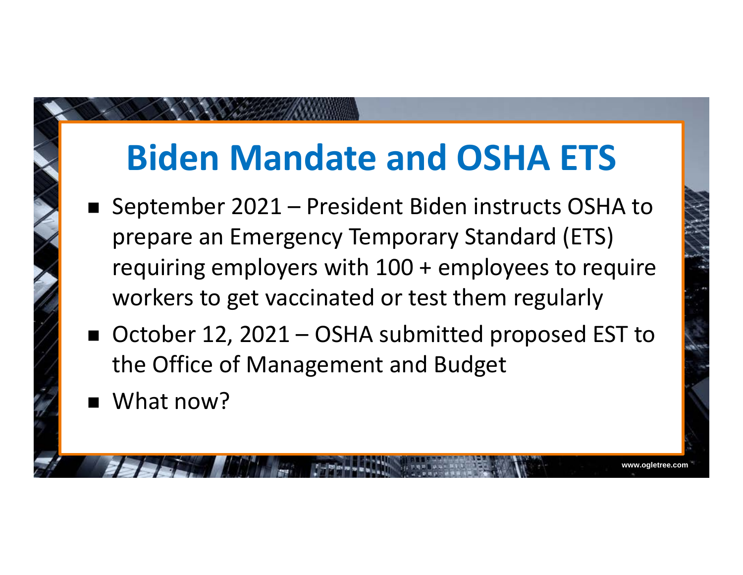### **Biden Mandate and OSHA ETS**

- September 2021 – President Biden instructs OSHA to prepare an Emergency Temporary Standard (ETS) requiring employers with 100 + employees to require workers to get vaccinated or test them regularly
- October 12, 2021 OSHA submitted proposed EST to the Office of Management and Budget

**www.ogletree.com**

What now?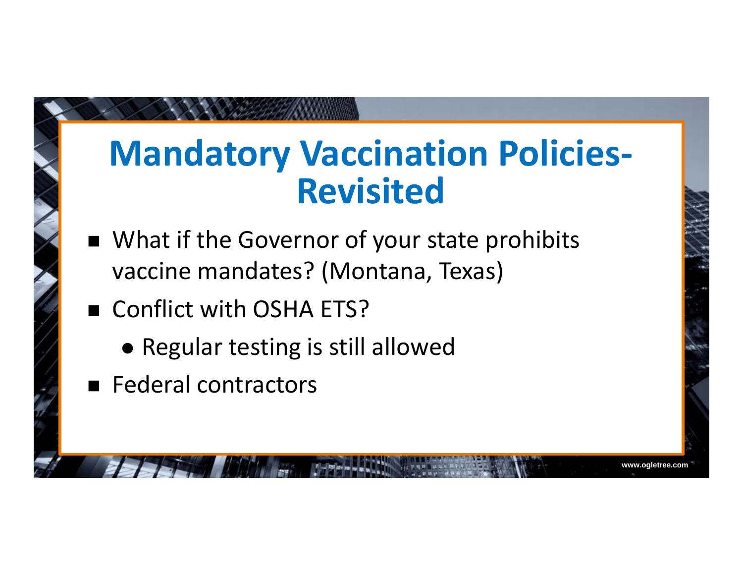#### **Mandatory Vaccination Policies-Revisited**

- What if the Governor of your state prohibits vaccine mandates? (Montana, Texas)
- Conflict with OSHA ETS?
	- Regular testing is still allowed
- **Federal contractors**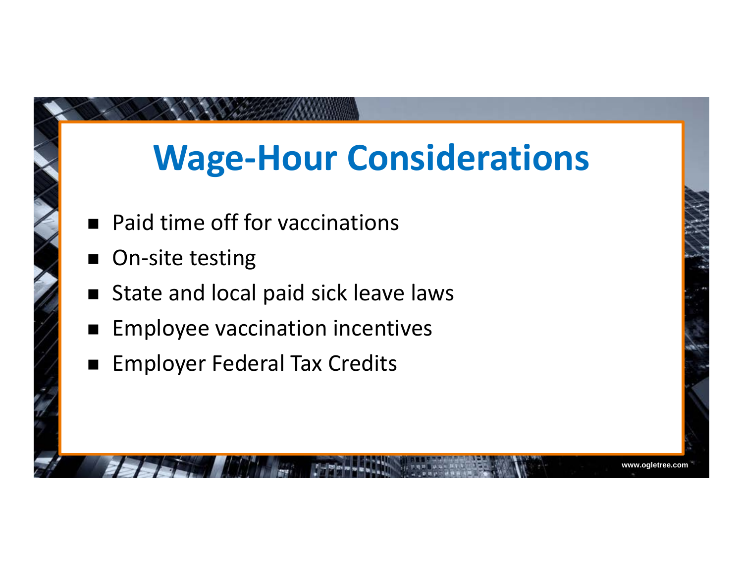### **Wage-Hour Considerations**

- $\blacksquare$ Paid time off for vaccinations
- $\blacksquare$ On-site testing
- $\blacksquare$ State and local paid sick leave laws
- $\blacksquare$ Employee vaccination incentives
- $\blacksquare$ Employer Federal Tax Credits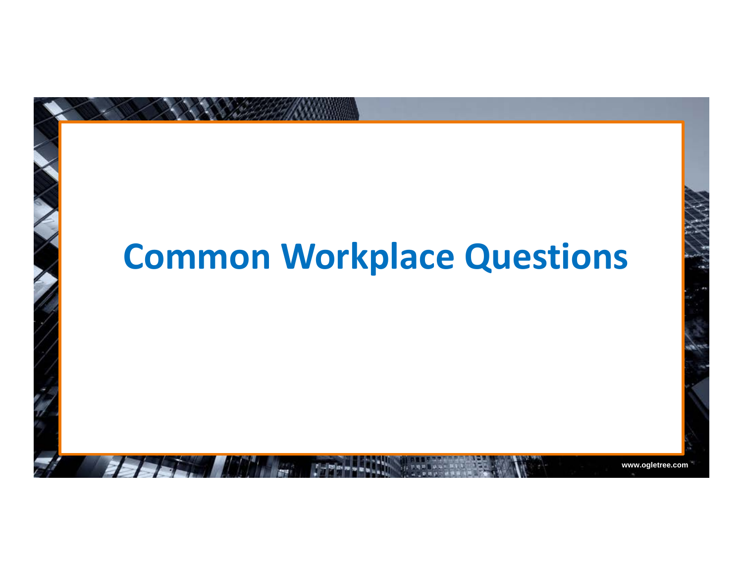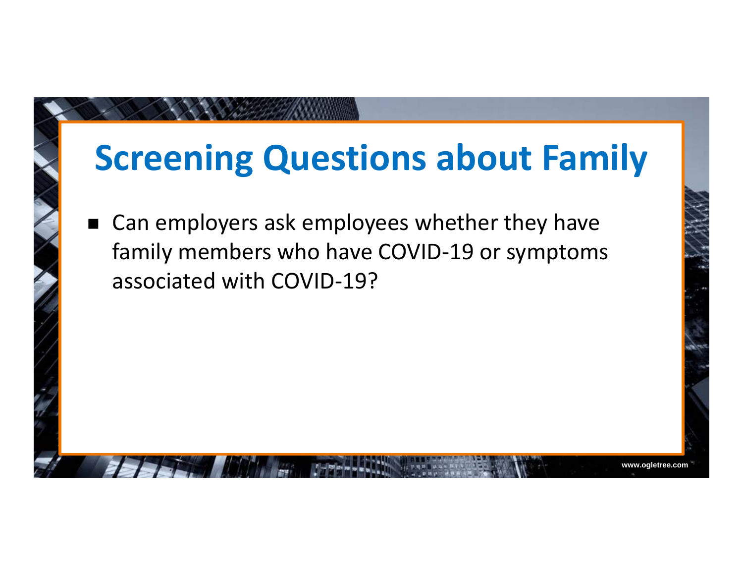#### **Screening Questions about Family**

**www.ogletree.com**

 $\blacksquare$  Can employers ask employees whether they have family members who have COVID-19 or symptoms associated with COVID-19?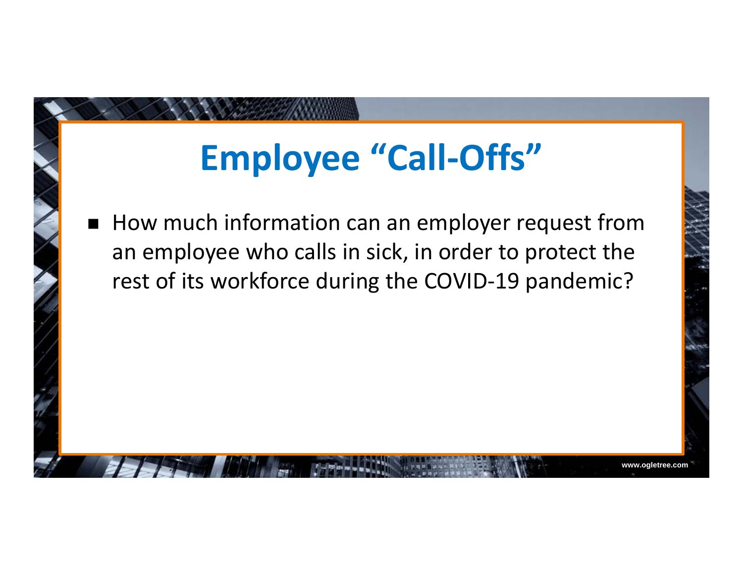## **Employee "Call-Offs"**

п How much information can an employer request from an employee who calls in sick, in order to protect the rest of its workforce during the COVID-19 pandemic?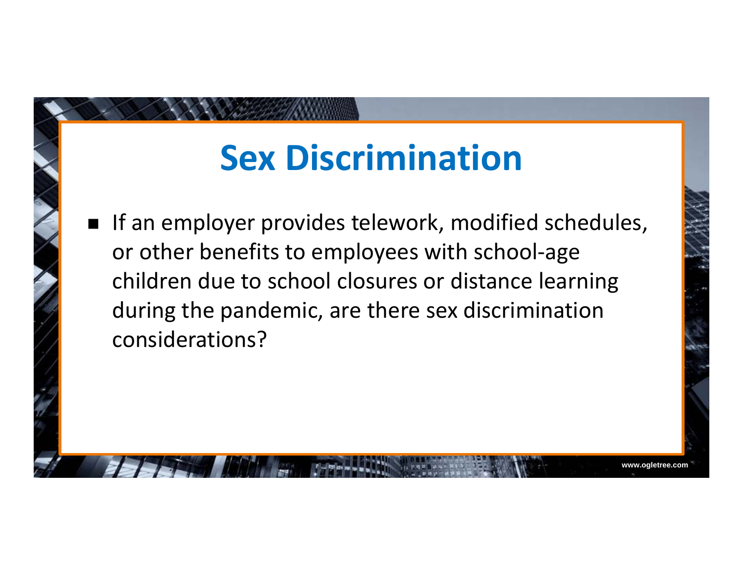#### **Sex Discrimination**

**If an employer provides telework, modified schedules,** or other benefits to employees with school-age children due to school closures or distance learning during the pandemic, are there sex discrimination considerations?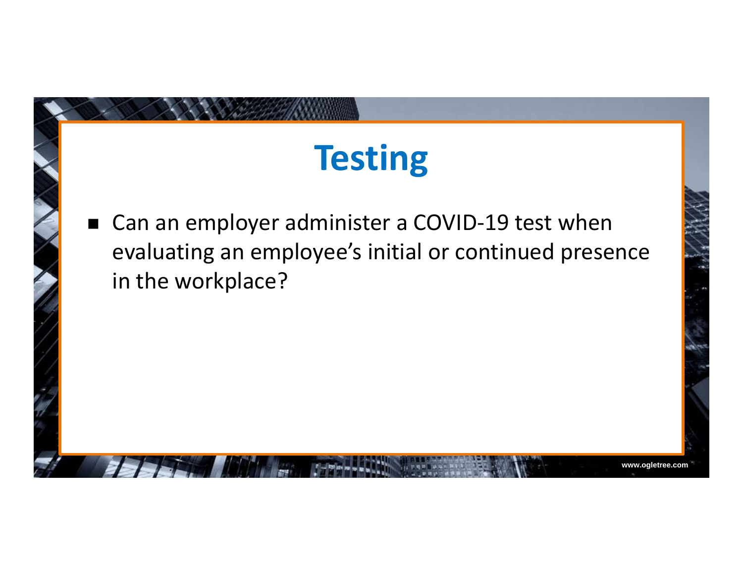# **Testing**

 $\blacksquare$  Can an employer administer a COVID-19 test when evaluating an employee's initial or continued presence in the workplace?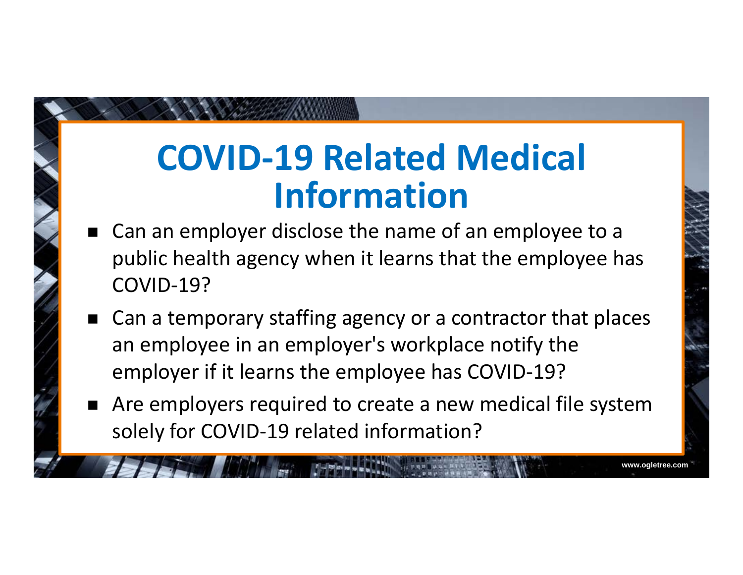#### **COVID-19 Related Medical Information**

- $\blacksquare$  Can an employer disclose the name of an employee to a public health agency when it learns that the employee has COVID-19?
- Can a temporary staffing agency or a contractor that places an employee in an employer's workplace notify the employer if it learns the employee has COVID-19?
- $\blacksquare$  Are employers required to create a new medical file system solely for COVID-19 related information?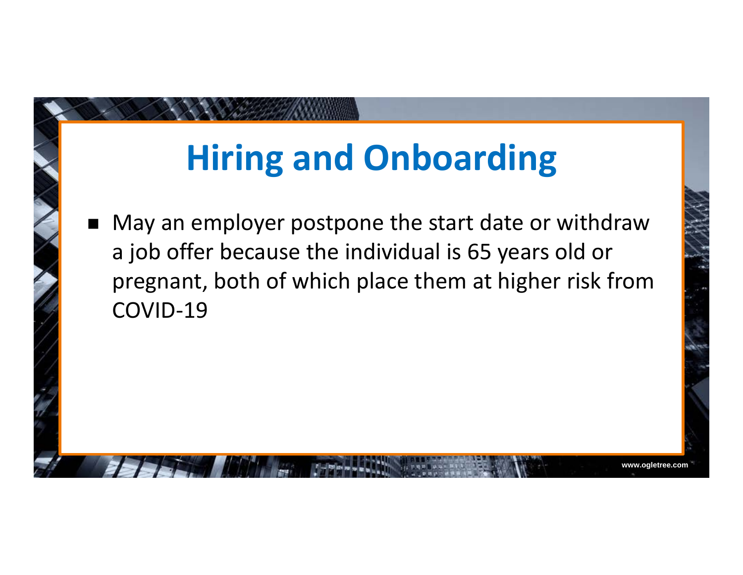## **Hiring and Onboarding**

 $\blacksquare$  May an employer postpone the start date or withdraw a job offer because the individual is 65 years old or pregnant, both of which place them at higher risk from COVID-19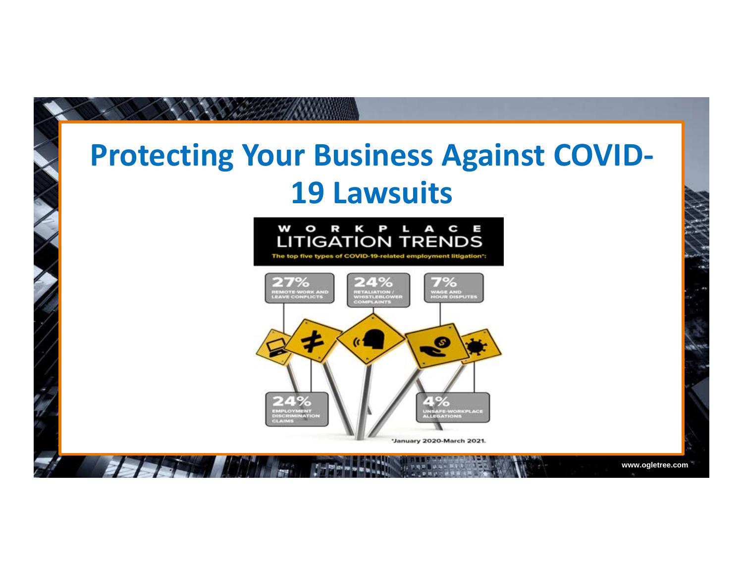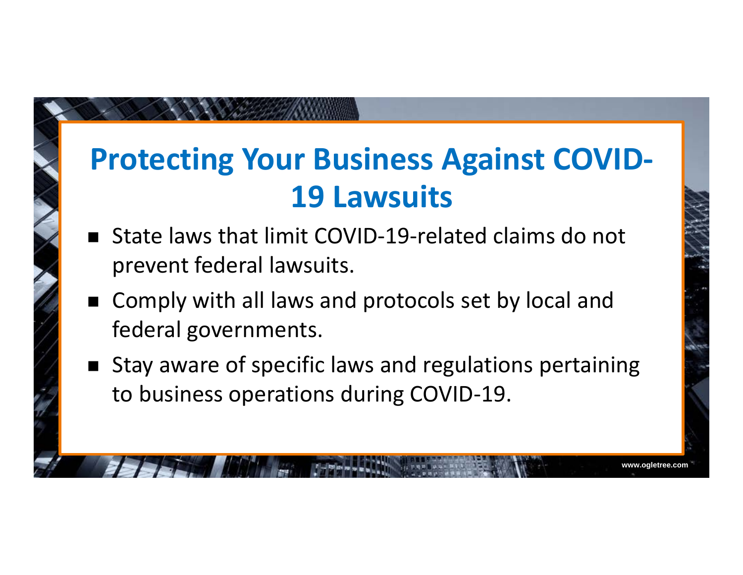#### **Protecting Your Business Against COVID-19 Lawsuits**

- $\blacksquare$  State laws that limit COVID-19-related claims do not prevent federal lawsuits.
- Comply with all laws and protocols set by local and federal governments.
- Stay aware of specific laws and regulations pertaining to business operations during COVID-19.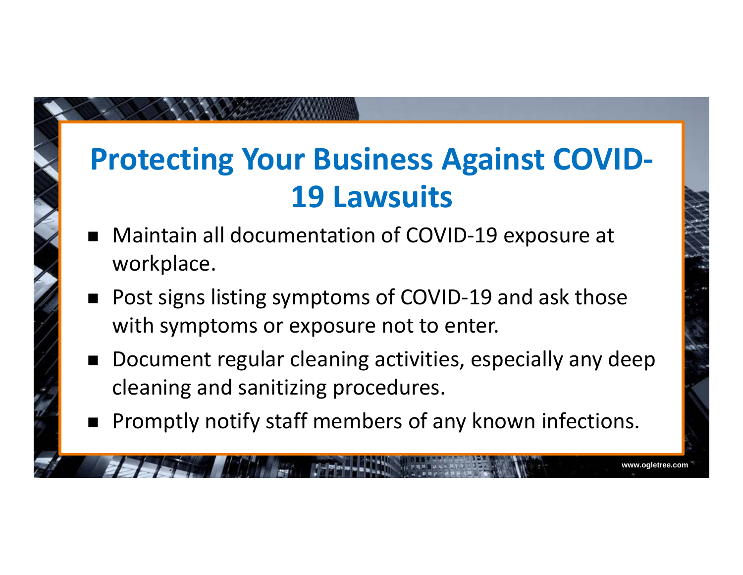#### **Protecting Your Business Against COVID-19 Lawsuits**

- $\blacksquare$  Maintain all documentation of COVID-19 exposure at workplace.
- $\blacksquare$  Post signs listing symptoms of COVID-19 and ask those with symptoms or exposure not to enter.
- $\blacksquare$  Document regular cleaning activities, especially any deep cleaning and sanitizing procedures.

**www.ogletree.com**

 $\blacksquare$ Promptly notify staff members of any known infections.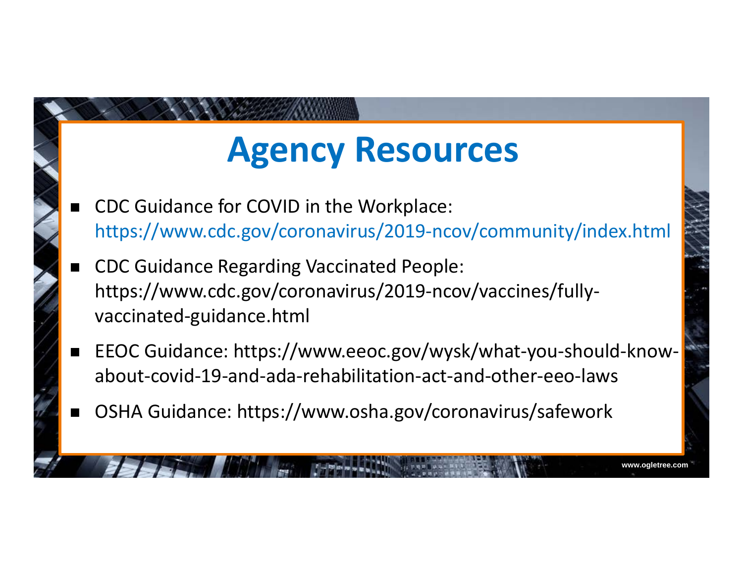### **Agency Resources**

- ▉ CDC Guidance for COVID in the Workplace: https://www.cdc.gov/coronavirus/2019-ncov/community/index.html
- ▉ CDC Guidance Regarding Vaccinated People: https://www.cdc.gov/coronavirus/2019-ncov/vaccines/fullyvaccinated-guidance.html
- EEOC Guidance: https://www.eeoc.gov/wysk/what-you-should-knowabout-covid-19-and-ada-rehabilitation-act-and-other-eeo-laws

**www.ogletree.com**

▉ OSHA Guidance: https://www.osha.gov/coronavirus/safework